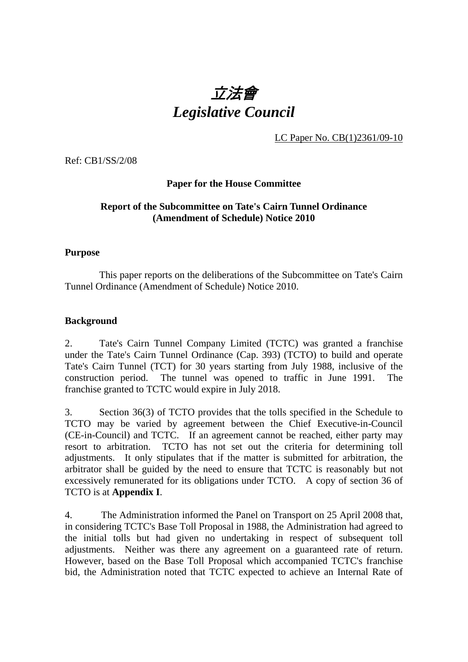# 立法會 *Legislative Council*

LC Paper No. CB(1)2361/09-10

Ref: CB1/SS/2/08

#### **Paper for the House Committee**

#### **Report of the Subcommittee on Tate's Cairn Tunnel Ordinance (Amendment of Schedule) Notice 2010**

#### **Purpose**

 This paper reports on the deliberations of the Subcommittee on Tate's Cairn Tunnel Ordinance (Amendment of Schedule) Notice 2010.

#### **Background**

2. Tate's Cairn Tunnel Company Limited (TCTC) was granted a franchise under the Tate's Cairn Tunnel Ordinance (Cap. 393) (TCTO) to build and operate Tate's Cairn Tunnel (TCT) for 30 years starting from July 1988, inclusive of the construction period. The tunnel was opened to traffic in June 1991. The franchise granted to TCTC would expire in July 2018.

3. Section 36(3) of TCTO provides that the tolls specified in the Schedule to TCTO may be varied by agreement between the Chief Executive-in-Council (CE-in-Council) and TCTC. If an agreement cannot be reached, either party may resort to arbitration. TCTO has not set out the criteria for determining toll adjustments. It only stipulates that if the matter is submitted for arbitration, the arbitrator shall be guided by the need to ensure that TCTC is reasonably but not excessively remunerated for its obligations under TCTO. A copy of section 36 of TCTO is at **Appendix I**.

4. The Administration informed the Panel on Transport on 25 April 2008 that, in considering TCTC's Base Toll Proposal in 1988, the Administration had agreed to the initial tolls but had given no undertaking in respect of subsequent toll adjustments. Neither was there any agreement on a guaranteed rate of return. However, based on the Base Toll Proposal which accompanied TCTC's franchise bid, the Administration noted that TCTC expected to achieve an Internal Rate of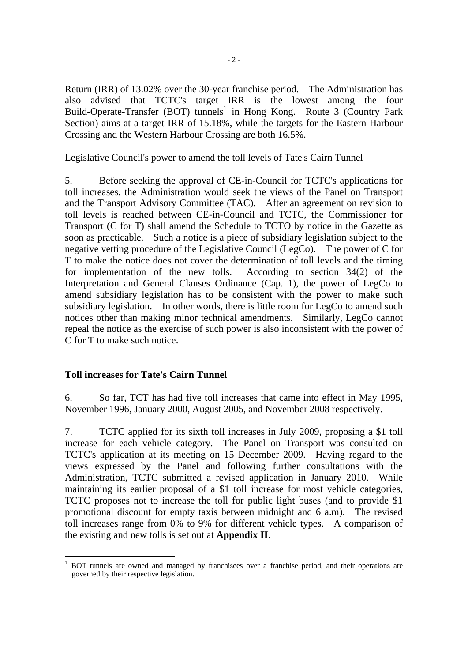Return (IRR) of 13.02% over the 30-year franchise period. The Administration has also advised that TCTC's target IRR is the lowest among the four Build-Operate-Transfer (BOT) tunnels<sup>1</sup> in Hong Kong. Route 3 (Country Park Section) aims at a target IRR of 15.18%, while the targets for the Eastern Harbour Crossing and the Western Harbour Crossing are both 16.5%.

#### Legislative Council's power to amend the toll levels of Tate's Cairn Tunnel

5. Before seeking the approval of CE-in-Council for TCTC's applications for toll increases, the Administration would seek the views of the Panel on Transport and the Transport Advisory Committee (TAC). After an agreement on revision to toll levels is reached between CE-in-Council and TCTC, the Commissioner for Transport (C for T) shall amend the Schedule to TCTO by notice in the Gazette as soon as practicable. Such a notice is a piece of subsidiary legislation subject to the negative vetting procedure of the Legislative Council (LegCo). The power of C for T to make the notice does not cover the determination of toll levels and the timing for implementation of the new tolls. According to section 34(2) of the Interpretation and General Clauses Ordinance (Cap. 1), the power of LegCo to amend subsidiary legislation has to be consistent with the power to make such subsidiary legislation. In other words, there is little room for LegCo to amend such notices other than making minor technical amendments. Similarly, LegCo cannot repeal the notice as the exercise of such power is also inconsistent with the power of C for T to make such notice.

#### **Toll increases for Tate's Cairn Tunnel**

6. So far, TCT has had five toll increases that came into effect in May 1995, November 1996, January 2000, August 2005, and November 2008 respectively.

7. TCTC applied for its sixth toll increases in July 2009, proposing a \$1 toll increase for each vehicle category. The Panel on Transport was consulted on TCTC's application at its meeting on 15 December 2009. Having regard to the views expressed by the Panel and following further consultations with the Administration, TCTC submitted a revised application in January 2010. While maintaining its earlier proposal of a \$1 toll increase for most vehicle categories, TCTC proposes not to increase the toll for public light buses (and to provide \$1 promotional discount for empty taxis between midnight and 6 a.m). The revised toll increases range from 0% to 9% for different vehicle types. A comparison of the existing and new tolls is set out at **Appendix II**.

 $\overline{a}$ 1 BOT tunnels are owned and managed by franchisees over a franchise period, and their operations are governed by their respective legislation.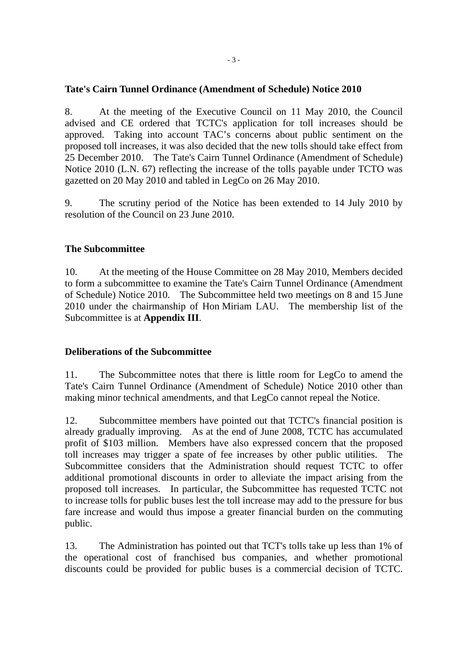#### **Tate's Cairn Tunnel Ordinance (Amendment of Schedule) Notice 2010**

8. At the meeting of the Executive Council on 11 May 2010, the Council advised and CE ordered that TCTC's application for toll increases should be approved. Taking into account TAC's concerns about public sentiment on the proposed toll increases, it was also decided that the new tolls should take effect from 25 December 2010. The Tate's Cairn Tunnel Ordinance (Amendment of Schedule) Notice 2010 (L.N. 67) reflecting the increase of the tolls payable under TCTO was gazetted on 20 May 2010 and tabled in LegCo on 26 May 2010.

9. The scrutiny period of the Notice has been extended to 14 July 2010 by resolution of the Council on 23 June 2010.

#### **The Subcommittee**

10. At the meeting of the House Committee on 28 May 2010, Members decided to form a subcommittee to examine the Tate's Cairn Tunnel Ordinance (Amendment of Schedule) Notice 2010. The Subcommittee held two meetings on 8 and 15 June 2010 under the chairmanship of Hon Miriam LAU. The membership list of the Subcommittee is at **Appendix III**.

#### **Deliberations of the Subcommittee**

11. The Subcommittee notes that there is little room for LegCo to amend the Tate's Cairn Tunnel Ordinance (Amendment of Schedule) Notice 2010 other than making minor technical amendments, and that LegCo cannot repeal the Notice.

12. Subcommittee members have pointed out that TCTC's financial position is already gradually improving. As at the end of June 2008, TCTC has accumulated profit of \$103 million. Members have also expressed concern that the proposed toll increases may trigger a spate of fee increases by other public utilities. The Subcommittee considers that the Administration should request TCTC to offer additional promotional discounts in order to alleviate the impact arising from the proposed toll increases. In particular, the Subcommittee has requested TCTC not to increase tolls for public buses lest the toll increase may add to the pressure for bus fare increase and would thus impose a greater financial burden on the commuting public.

13. The Administration has pointed out that TCT's tolls take up less than 1% of the operational cost of franchised bus companies, and whether promotional discounts could be provided for public buses is a commercial decision of TCTC.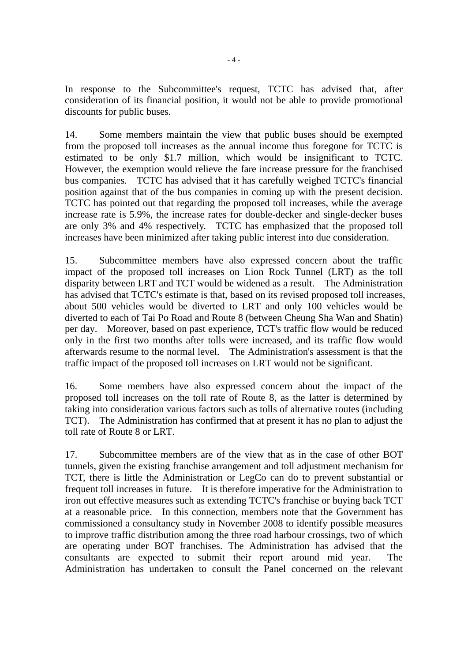In response to the Subcommittee's request, TCTC has advised that, after consideration of its financial position, it would not be able to provide promotional discounts for public buses.

14. Some members maintain the view that public buses should be exempted from the proposed toll increases as the annual income thus foregone for TCTC is estimated to be only \$1.7 million, which would be insignificant to TCTC. However, the exemption would relieve the fare increase pressure for the franchised bus companies. TCTC has advised that it has carefully weighed TCTC's financial position against that of the bus companies in coming up with the present decision. TCTC has pointed out that regarding the proposed toll increases, while the average increase rate is 5.9%, the increase rates for double-decker and single-decker buses are only 3% and 4% respectively. TCTC has emphasized that the proposed toll increases have been minimized after taking public interest into due consideration.

15. Subcommittee members have also expressed concern about the traffic impact of the proposed toll increases on Lion Rock Tunnel (LRT) as the toll disparity between LRT and TCT would be widened as a result. The Administration has advised that TCTC's estimate is that, based on its revised proposed toll increases, about 500 vehicles would be diverted to LRT and only 100 vehicles would be diverted to each of Tai Po Road and Route 8 (between Cheung Sha Wan and Shatin) per day. Moreover, based on past experience, TCT's traffic flow would be reduced only in the first two months after tolls were increased, and its traffic flow would afterwards resume to the normal level. The Administration's assessment is that the traffic impact of the proposed toll increases on LRT would not be significant.

16. Some members have also expressed concern about the impact of the proposed toll increases on the toll rate of Route 8, as the latter is determined by taking into consideration various factors such as tolls of alternative routes (including TCT). The Administration has confirmed that at present it has no plan to adjust the toll rate of Route 8 or LRT.

17. Subcommittee members are of the view that as in the case of other BOT tunnels, given the existing franchise arrangement and toll adjustment mechanism for TCT, there is little the Administration or LegCo can do to prevent substantial or frequent toll increases in future. It is therefore imperative for the Administration to iron out effective measures such as extending TCTC's franchise or buying back TCT at a reasonable price. In this connection, members note that the Government has commissioned a consultancy study in November 2008 to identify possible measures to improve traffic distribution among the three road harbour crossings, two of which are operating under BOT franchises. The Administration has advised that the consultants are expected to submit their report around mid year. The Administration has undertaken to consult the Panel concerned on the relevant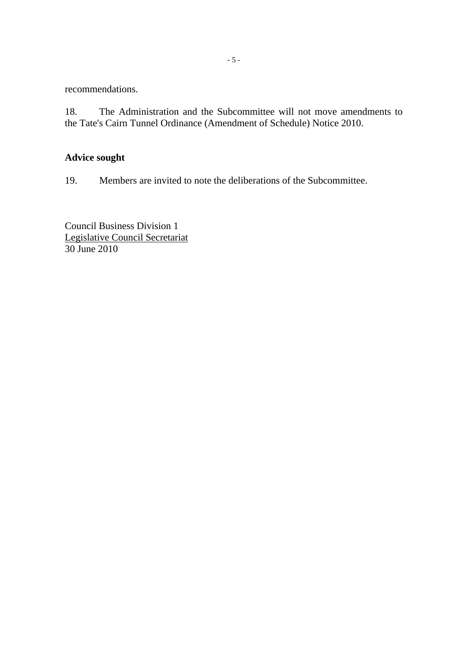recommendations.

18. The Administration and the Subcommittee will not move amendments to the Tate's Cairn Tunnel Ordinance (Amendment of Schedule) Notice 2010.

### **Advice sought**

19. Members are invited to note the deliberations of the Subcommittee.

Council Business Division 1 Legislative Council Secretariat 30 June 2010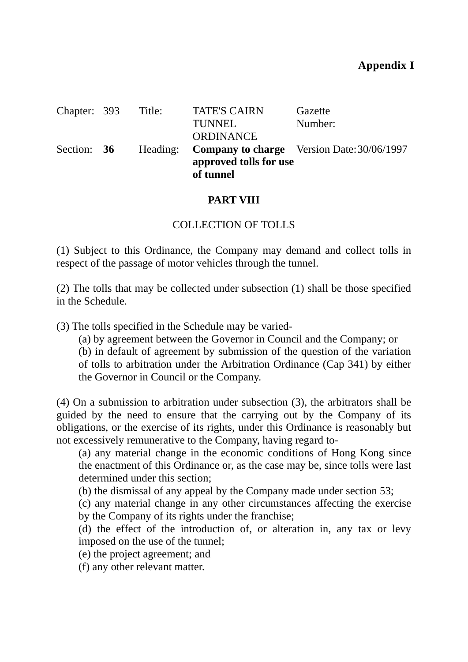| Chapter: 393 | Title: | <b>TATE'S CAIRN</b>                 | Gazette                                             |
|--------------|--------|-------------------------------------|-----------------------------------------------------|
|              |        | <b>TUNNEL</b>                       | Number:                                             |
|              |        | <b>ORDINANCE</b>                    |                                                     |
| Section: 36  |        |                                     | Heading: Company to charge Version Date: 30/06/1997 |
|              |        | approved tolls for use<br>of tunnel |                                                     |

### **PART VIII**

### COLLECTION OF TOLLS

(1) Subject to this Ordinance, the Company may demand and collect tolls in respect of the passage of motor vehicles through the tunnel.

(2) The tolls that may be collected under subsection (1) shall be those specified in the Schedule.

(3) The tolls specified in the Schedule may be varied-

(a) by agreement between the Governor in Council and the Company; or

(b) in default of agreement by submission of the question of the variation of tolls to arbitration under the Arbitration Ordinance (Cap 341) by either the Governor in Council or the Company.

(4) On a submission to arbitration under subsection (3), the arbitrators shall be guided by the need to ensure that the carrying out by the Company of its obligations, or the exercise of its rights, under this Ordinance is reasonably but not excessively remunerative to the Company, having regard to-

(a) any material change in the economic conditions of Hong Kong since the enactment of this Ordinance or, as the case may be, since tolls were last determined under this section;

(b) the dismissal of any appeal by the Company made under section 53;

(c) any material change in any other circumstances affecting the exercise by the Company of its rights under the franchise;

(d) the effect of the introduction of, or alteration in, any tax or levy imposed on the use of the tunnel;

(e) the project agreement; and

(f) any other relevant matter.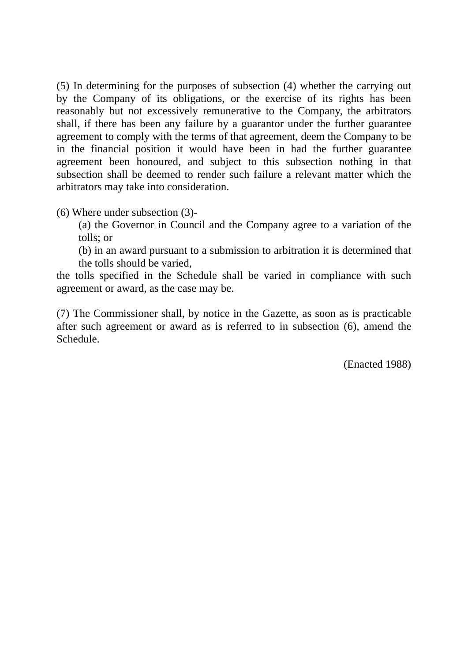(5) In determining for the purposes of subsection (4) whether the carrying out by the Company of its obligations, or the exercise of its rights has been reasonably but not excessively remunerative to the Company, the arbitrators shall, if there has been any failure by a guarantor under the further guarantee agreement to comply with the terms of that agreement, deem the Company to be in the financial position it would have been in had the further guarantee agreement been honoured, and subject to this subsection nothing in that subsection shall be deemed to render such failure a relevant matter which the arbitrators may take into consideration.

(6) Where under subsection (3)-

- (a) the Governor in Council and the Company agree to a variation of the tolls; or
- (b) in an award pursuant to a submission to arbitration it is determined that the tolls should be varied,

the tolls specified in the Schedule shall be varied in compliance with such agreement or award, as the case may be.

(7) The Commissioner shall, by notice in the Gazette, as soon as is practicable after such agreement or award as is referred to in subsection (6), amend the Schedule.

(Enacted 1988)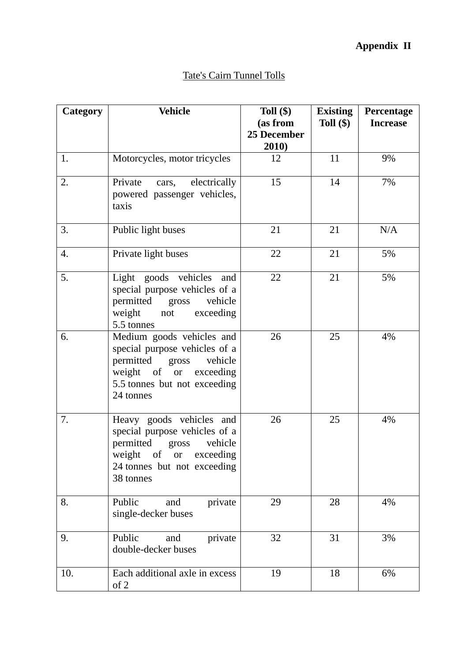# **Appendix II**

# Tate's Cairn Tunnel Tolls

| Category | <b>Vehicle</b>                                                                                                                                                     | Toll $(\$)$<br>(as from<br>25 December<br>2010) | <b>Existing</b><br>Toll $(\$)$ | Percentage<br><b>Increase</b> |
|----------|--------------------------------------------------------------------------------------------------------------------------------------------------------------------|-------------------------------------------------|--------------------------------|-------------------------------|
| 1.       | Motorcycles, motor tricycles                                                                                                                                       | 12                                              | 11                             | 9%                            |
| 2.       | Private<br>electrically<br>cars,<br>powered passenger vehicles,<br>taxis                                                                                           | 15                                              | 14                             | 7%                            |
| 3.       | Public light buses                                                                                                                                                 | 21                                              | 21                             | N/A                           |
| 4.       | Private light buses                                                                                                                                                | 22                                              | 21                             | 5%                            |
| 5.       | Light goods vehicles<br>and<br>special purpose vehicles of a<br>permitted<br>vehicle<br>gross<br>weight<br>not<br>exceeding<br>5.5 tonnes                          | 22                                              | 21                             | 5%                            |
| 6.       | Medium goods vehicles and<br>special purpose vehicles of a<br>permitted gross<br>vehicle<br>weight of or<br>exceeding<br>5.5 tonnes but not exceeding<br>24 tonnes | 26                                              | 25                             | 4%                            |
| 7.       | Heavy goods vehicles and<br>special purpose vehicles of a<br>permitted<br>vehicle<br>gross<br>weight of or exceeding<br>24 tonnes but not exceeding<br>38 tonnes   | 26                                              | 25                             | 4%                            |
| 8.       | Public<br>private<br>and<br>single-decker buses                                                                                                                    | 29                                              | 28                             | 4%                            |
| 9.       | Public<br>private<br>and<br>double-decker buses                                                                                                                    | 32                                              | 31                             | 3%                            |
| 10.      | Each additional axle in excess<br>of 2                                                                                                                             | 19                                              | 18                             | 6%                            |